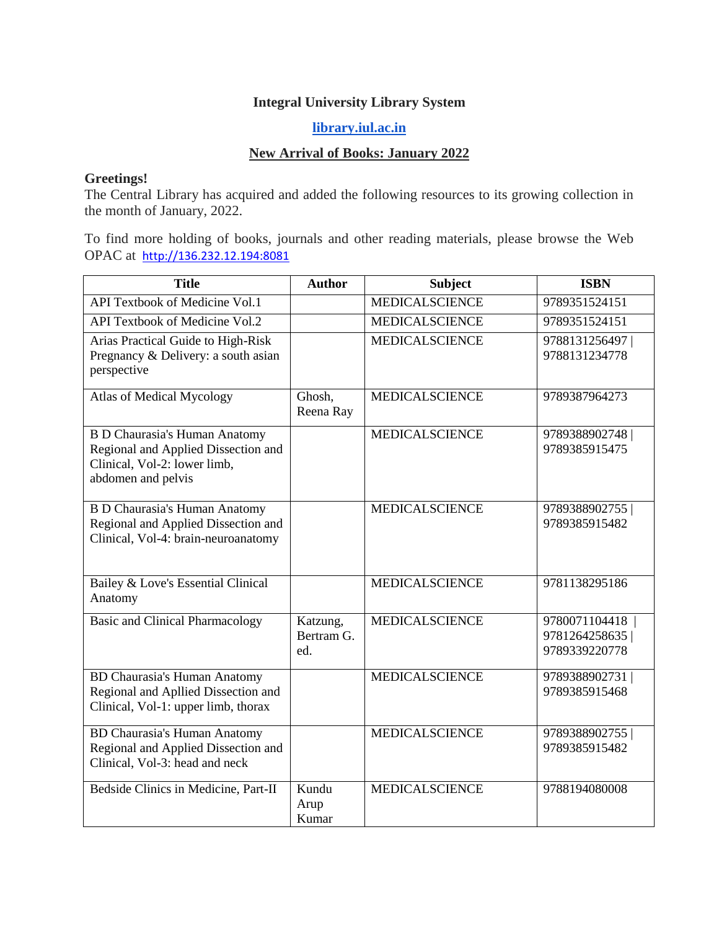## **Integral University Library System**

## **[library.iul.ac.in](http://library.iul.ac.in/)**

## **New Arrival of Books: January 2022**

## **Greetings!**

The Central Library has acquired and added the following resources to its growing collection in the month of January, 2022.

To find more holding of books, journals and other reading materials, please browse the Web OPAC at [http://136.232.12.194:8081](http://136.232.12.194:8081/)

| <b>Title</b>                                                                                                                      | <b>Author</b>                 | <b>Subject</b>        | <b>ISBN</b>                                     |
|-----------------------------------------------------------------------------------------------------------------------------------|-------------------------------|-----------------------|-------------------------------------------------|
| <b>API Textbook of Medicine Vol.1</b>                                                                                             |                               | <b>MEDICALSCIENCE</b> | 9789351524151                                   |
| <b>API Textbook of Medicine Vol.2</b>                                                                                             |                               | <b>MEDICALSCIENCE</b> | 9789351524151                                   |
| Arias Practical Guide to High-Risk<br>Pregnancy & Delivery: a south asian<br>perspective                                          |                               | <b>MEDICALSCIENCE</b> | 9788131256497<br>9788131234778                  |
| <b>Atlas of Medical Mycology</b>                                                                                                  | Ghosh,<br>Reena Ray           | <b>MEDICALSCIENCE</b> | 9789387964273                                   |
| <b>B D Chaurasia's Human Anatomy</b><br>Regional and Applied Dissection and<br>Clinical, Vol-2: lower limb,<br>abdomen and pelvis |                               | <b>MEDICALSCIENCE</b> | 9789388902748<br>9789385915475                  |
| <b>B D Chaurasia's Human Anatomy</b><br>Regional and Applied Dissection and<br>Clinical, Vol-4: brain-neuroanatomy                |                               | <b>MEDICALSCIENCE</b> | 9789388902755<br>9789385915482                  |
| Bailey & Love's Essential Clinical<br>Anatomy                                                                                     |                               | <b>MEDICALSCIENCE</b> | 9781138295186                                   |
| <b>Basic and Clinical Pharmacology</b>                                                                                            | Katzung,<br>Bertram G.<br>ed. | <b>MEDICALSCIENCE</b> | 9780071104418<br>9781264258635<br>9789339220778 |
| <b>BD Chaurasia's Human Anatomy</b><br>Regional and Apllied Dissection and<br>Clinical, Vol-1: upper limb, thorax                 |                               | <b>MEDICALSCIENCE</b> | 9789388902731<br>9789385915468                  |
| <b>BD Chaurasia's Human Anatomy</b><br>Regional and Applied Dissection and<br>Clinical, Vol-3: head and neck                      |                               | <b>MEDICALSCIENCE</b> | 9789388902755<br>9789385915482                  |
| Bedside Clinics in Medicine, Part-II                                                                                              | Kundu<br>Arup<br>Kumar        | <b>MEDICALSCIENCE</b> | 9788194080008                                   |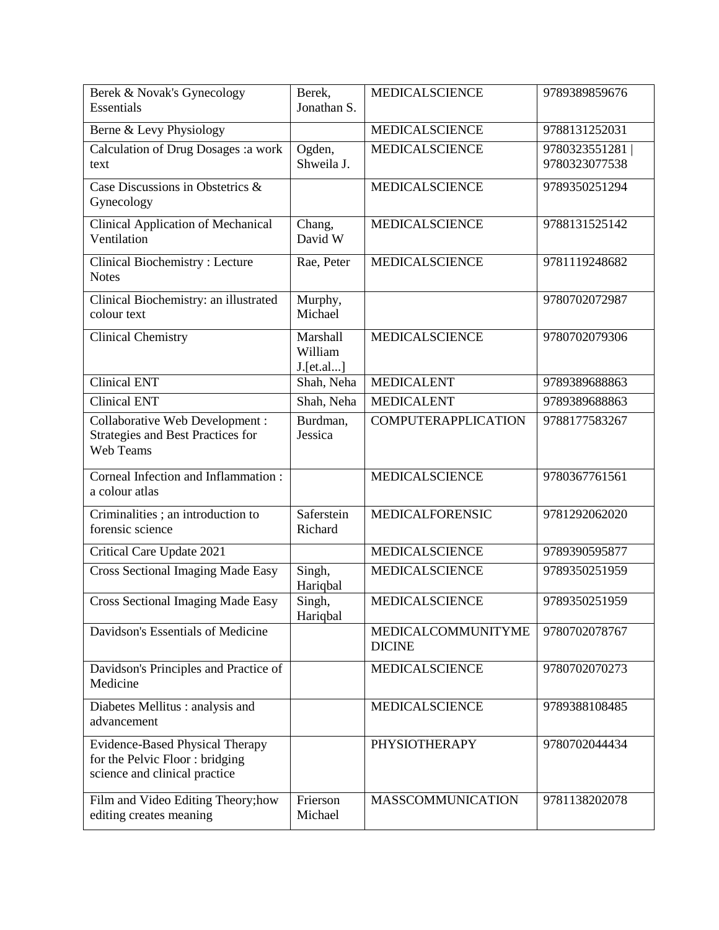| Berek & Novak's Gynecology<br>Essentials                                                                  | Berek,<br>Jonathan S.            | <b>MEDICALSCIENCE</b>               | 9789389859676                  |
|-----------------------------------------------------------------------------------------------------------|----------------------------------|-------------------------------------|--------------------------------|
| Berne & Levy Physiology                                                                                   |                                  | <b>MEDICALSCIENCE</b>               | 9788131252031                  |
| Calculation of Drug Dosages : a work<br>text                                                              | Ogden,<br>Shweila J.             | <b>MEDICALSCIENCE</b>               | 9780323551281<br>9780323077538 |
| Case Discussions in Obstetrics &<br>Gynecology                                                            |                                  | <b>MEDICALSCIENCE</b>               | 9789350251294                  |
| <b>Clinical Application of Mechanical</b><br>Ventilation                                                  | Chang,<br>David W                | <b>MEDICALSCIENCE</b>               | 9788131525142                  |
| <b>Clinical Biochemistry: Lecture</b><br><b>Notes</b>                                                     | Rae, Peter                       | <b>MEDICALSCIENCE</b>               | 9781119248682                  |
| Clinical Biochemistry: an illustrated<br>colour text                                                      | Murphy,<br>Michael               |                                     | 9780702072987                  |
| <b>Clinical Chemistry</b>                                                                                 | Marshall<br>William<br>J.[et.al] | <b>MEDICALSCIENCE</b>               | 9780702079306                  |
| <b>Clinical ENT</b>                                                                                       | Shah, Neha                       | <b>MEDICALENT</b>                   | 9789389688863                  |
| <b>Clinical ENT</b>                                                                                       | Shah, Neha                       | <b>MEDICALENT</b>                   | 9789389688863                  |
| <b>Collaborative Web Development:</b><br>Strategies and Best Practices for<br>Web Teams                   | Burdman,<br>Jessica              | <b>COMPUTERAPPLICATION</b>          | 9788177583267                  |
| Corneal Infection and Inflammation:<br>a colour atlas                                                     |                                  | <b>MEDICALSCIENCE</b>               | 9780367761561                  |
| Criminalities; an introduction to<br>forensic science                                                     | Saferstein<br>Richard            | MEDICALFORENSIC                     | 9781292062020                  |
| Critical Care Update 2021                                                                                 |                                  | <b>MEDICALSCIENCE</b>               | 9789390595877                  |
| <b>Cross Sectional Imaging Made Easy</b>                                                                  | Singh,<br>Hariqbal               | <b>MEDICALSCIENCE</b>               | 9789350251959                  |
| <b>Cross Sectional Imaging Made Easy</b>                                                                  | Singh,<br>Hariqbal               | <b>MEDICALSCIENCE</b>               | 9789350251959                  |
| Davidson's Essentials of Medicine                                                                         |                                  | MEDICALCOMMUNITYME<br><b>DICINE</b> | 9780702078767                  |
| Davidson's Principles and Practice of<br>Medicine                                                         |                                  | <b>MEDICALSCIENCE</b>               | 9780702070273                  |
| Diabetes Mellitus : analysis and<br>advancement                                                           |                                  | <b>MEDICALSCIENCE</b>               | 9789388108485                  |
| <b>Evidence-Based Physical Therapy</b><br>for the Pelvic Floor: bridging<br>science and clinical practice |                                  | <b>PHYSIOTHERAPY</b>                | 9780702044434                  |
| Film and Video Editing Theory; how<br>editing creates meaning                                             | Frierson<br>Michael              | <b>MASSCOMMUNICATION</b>            | 9781138202078                  |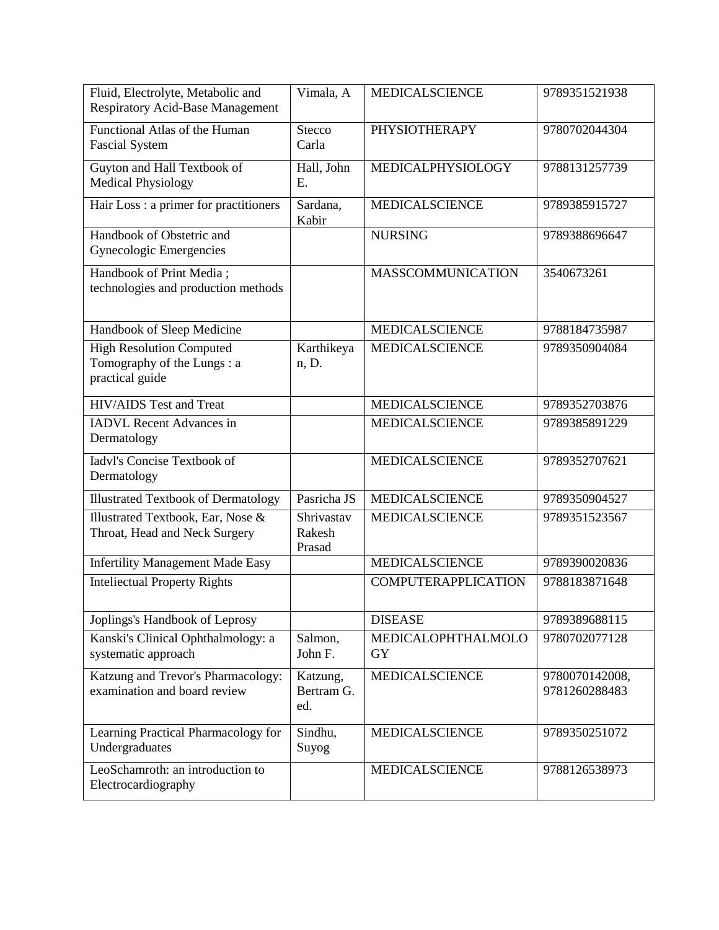| Fluid, Electrolyte, Metabolic and<br><b>Respiratory Acid-Base Management</b>     | Vimala, A                      | <b>MEDICALSCIENCE</b>      | 9789351521938                   |
|----------------------------------------------------------------------------------|--------------------------------|----------------------------|---------------------------------|
| Functional Atlas of the Human<br><b>Fascial System</b>                           | <b>Stecco</b><br>Carla         | <b>PHYSIOTHERAPY</b>       | 9780702044304                   |
| Guyton and Hall Textbook of<br><b>Medical Physiology</b>                         | Hall, John<br>E.               | MEDICALPHYSIOLOGY          | 9788131257739                   |
| Hair Loss : a primer for practitioners                                           | Sardana,<br>Kabir              | <b>MEDICALSCIENCE</b>      | 9789385915727                   |
| Handbook of Obstetric and<br>Gynecologic Emergencies                             |                                | <b>NURSING</b>             | 9789388696647                   |
| Handbook of Print Media;<br>technologies and production methods                  |                                | <b>MASSCOMMUNICATION</b>   | 3540673261                      |
| Handbook of Sleep Medicine                                                       |                                | <b>MEDICALSCIENCE</b>      | 9788184735987                   |
| <b>High Resolution Computed</b><br>Tomography of the Lungs: a<br>practical guide | Karthikeya<br>n, D.            | <b>MEDICALSCIENCE</b>      | 9789350904084                   |
| <b>HIV/AIDS</b> Test and Treat                                                   |                                | <b>MEDICALSCIENCE</b>      | 9789352703876                   |
| <b>IADVL</b> Recent Advances in<br>Dermatology                                   |                                | <b>MEDICALSCIENCE</b>      | 9789385891229                   |
| <b>Iadyl's Concise Textbook of</b><br>Dermatology                                |                                | <b>MEDICALSCIENCE</b>      | 9789352707621                   |
| <b>Illustrated Textbook of Dermatology</b>                                       | Pasricha JS                    | <b>MEDICALSCIENCE</b>      | 9789350904527                   |
| Illustrated Textbook, Ear, Nose &<br>Throat, Head and Neck Surgery               | Shrivastav<br>Rakesh<br>Prasad | <b>MEDICALSCIENCE</b>      | 9789351523567                   |
| <b>Infertility Management Made Easy</b>                                          |                                | <b>MEDICALSCIENCE</b>      | 9789390020836                   |
| <b>Inteliectual Property Rights</b>                                              |                                | <b>COMPUTERAPPLICATION</b> | 9788183871648                   |
| Joplings's Handbook of Leprosy                                                   |                                | <b>DISEASE</b>             | 9789389688115                   |
| Kanski's Clinical Ophthalmology: a<br>systematic approach                        | Salmon,<br>John F.             | MEDICALOPHTHALMOLO<br>GY   | 9780702077128                   |
| Katzung and Trevor's Pharmacology:<br>examination and board review               | Katzung,<br>Bertram G.<br>ed.  | <b>MEDICALSCIENCE</b>      | 9780070142008,<br>9781260288483 |
| Learning Practical Pharmacology for<br>Undergraduates                            | Sindhu,<br>Suyog               | <b>MEDICALSCIENCE</b>      | 9789350251072                   |
| LeoSchamroth: an introduction to<br>Electrocardiography                          |                                | <b>MEDICALSCIENCE</b>      | 9788126538973                   |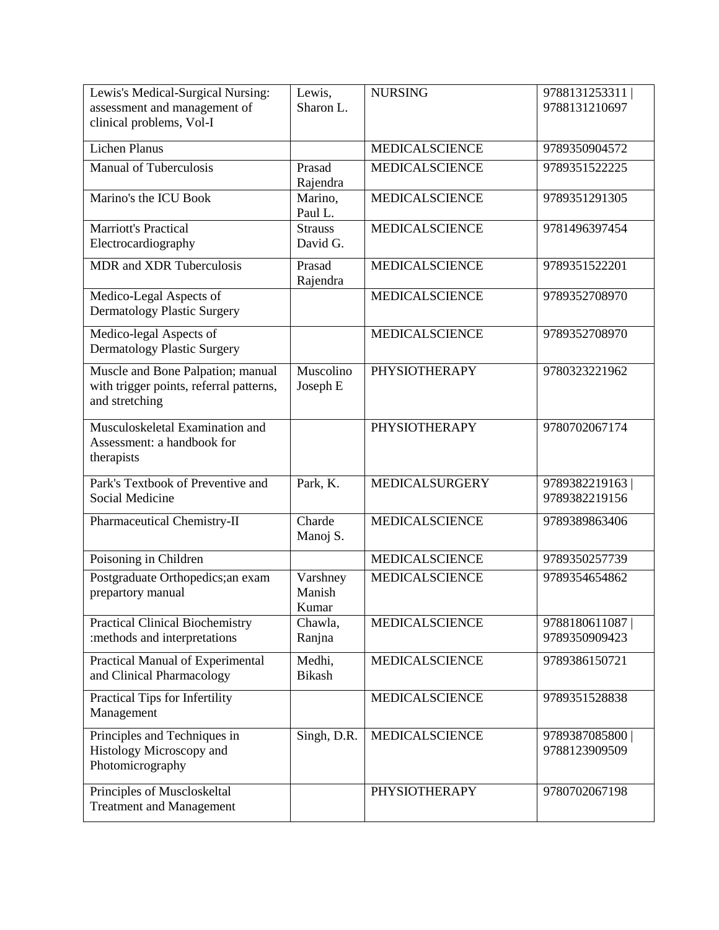| Lewis's Medical-Surgical Nursing:<br>assessment and management of                              | Lewis,<br>Sharon L.         | <b>NURSING</b>        | 9788131253311<br>9788131210697 |
|------------------------------------------------------------------------------------------------|-----------------------------|-----------------------|--------------------------------|
| clinical problems, Vol-I                                                                       |                             |                       |                                |
| <b>Lichen Planus</b>                                                                           |                             | <b>MEDICALSCIENCE</b> | 9789350904572                  |
| <b>Manual of Tuberculosis</b>                                                                  | Prasad<br>Rajendra          | <b>MEDICALSCIENCE</b> | 9789351522225                  |
| Marino's the ICU Book                                                                          | Marino,<br>Paul L.          | <b>MEDICALSCIENCE</b> | 9789351291305                  |
| <b>Marriott's Practical</b><br>Electrocardiography                                             | <b>Strauss</b><br>David G.  | <b>MEDICALSCIENCE</b> | 9781496397454                  |
| <b>MDR</b> and <b>XDR</b> Tuberculosis                                                         | Prasad<br>Rajendra          | <b>MEDICALSCIENCE</b> | 9789351522201                  |
| Medico-Legal Aspects of<br><b>Dermatology Plastic Surgery</b>                                  |                             | <b>MEDICALSCIENCE</b> | 9789352708970                  |
| Medico-legal Aspects of<br><b>Dermatology Plastic Surgery</b>                                  |                             | <b>MEDICALSCIENCE</b> | 9789352708970                  |
| Muscle and Bone Palpation; manual<br>with trigger points, referral patterns,<br>and stretching | Muscolino<br>Joseph E       | <b>PHYSIOTHERAPY</b>  | 9780323221962                  |
| Musculoskeletal Examination and<br>Assessment: a handbook for<br>therapists                    |                             | <b>PHYSIOTHERAPY</b>  | 9780702067174                  |
| Park's Textbook of Preventive and<br>Social Medicine                                           | Park, K.                    | <b>MEDICALSURGERY</b> | 9789382219163<br>9789382219156 |
| Pharmaceutical Chemistry-II                                                                    | Charde<br>Manoj S.          | <b>MEDICALSCIENCE</b> | 9789389863406                  |
| Poisoning in Children                                                                          |                             | <b>MEDICALSCIENCE</b> | 9789350257739                  |
| Postgraduate Orthopedics;an exam<br>prepartory manual                                          | Varshney<br>Manish<br>Kumar | <b>MEDICALSCIENCE</b> | 9789354654862                  |
| <b>Practical Clinical Biochemistry</b><br>:methods and interpretations                         | Chawla,<br>Ranjna           | <b>MEDICALSCIENCE</b> | 9788180611087<br>9789350909423 |
| Practical Manual of Experimental<br>and Clinical Pharmacology                                  | Medhi,<br><b>Bikash</b>     | <b>MEDICALSCIENCE</b> | 9789386150721                  |
| Practical Tips for Infertility<br>Management                                                   |                             | <b>MEDICALSCIENCE</b> | 9789351528838                  |
| Principles and Techniques in<br>Histology Microscopy and<br>Photomicrography                   | Singh, D.R.                 | MEDICALSCIENCE        | 9789387085800<br>9788123909509 |
| Principles of Muscloskeltal<br><b>Treatment and Management</b>                                 |                             | <b>PHYSIOTHERAPY</b>  | 9780702067198                  |